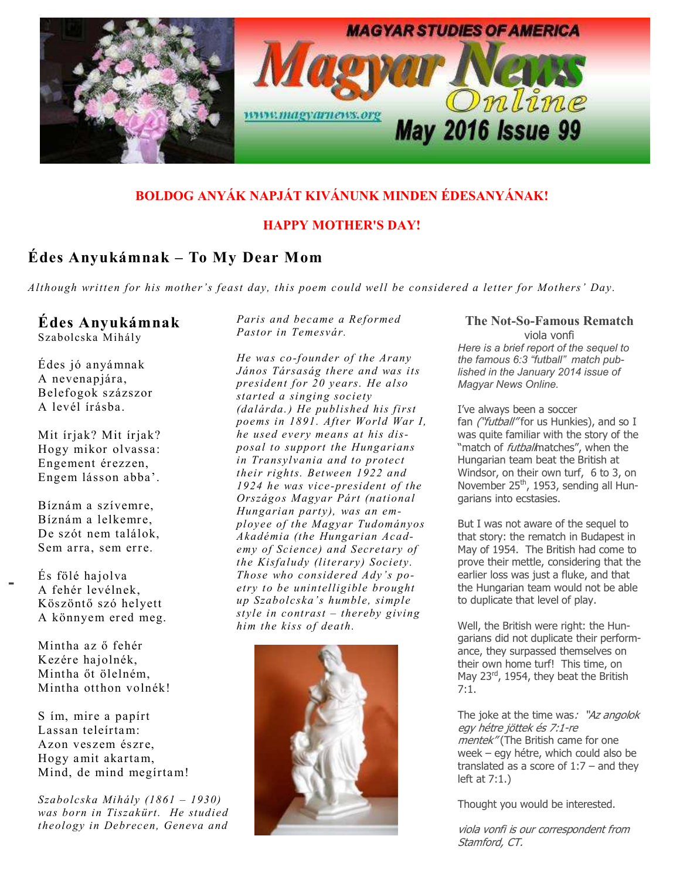

## BOLDOG ANYÁK NAPJÁT KIVÁNUNK MINDEN ÉDESANYÁNAK!

#### HAPPY MOTHER'S DAY!

## Édes Anyukámnak – To My Dear Mom

Although written for his mother's feast day, this poem could well be considered a letter for Mothers' Day.

## Édes Anyukámnak

Szabolcska Mihály

Édes jó anyámnak A nevenapjára, Belefogok százszor A levél írásba.

Mit írjak? Mit írjak? Hogy mikor olvassa: Engement érezzen, Engem lásson abba'.

Bíznám a szívemre, Bíznám a lelkemre, De szót nem találok, Sem arra, sem erre.

- És fölé hajolva A fehér levélnek, Köszöntő szó helyett A könnyem ered meg.

> Mintha az ő fehér Kezére hajolnék, Mintha őt ölelném. Mintha otthon volnék!

S ím, mire a papírt Lassan teleírtam: Azon veszem észre, Hogy amit akartam, Mind, de mind megírtam!

Szabolcska Mihály (1861 – 1930) was born in Tiszakürt. He studied theology in Debrecen, Geneva and Paris and became a Reformed Pastor in Temesvár.

He was co-founder of the Arany János Társaság there and was its president for 20 years. He also started a singing society (dalárda. ) He published his first poems in 1891. After World War I, he used every means at his disposal to support the Hungarians in Transylvania and to protect their rights. Between 1922 and 1924 he was vice-president of the Országos Magyar Párt (national Hungarian party), was an employee of the Magyar Tudományos Akadémia (the Hungarian Academy of Science) and Secretary of the Kisfaludy (literary) Society. Those who considered Ady's poetry to be unintelligible brought up Szabolcska's humble, simple style in contrast  $-$  thereby giving him the kiss of death.



#### The Not-So-Famous Rematch viola vonfi Here is a brief report of the sequel to

the famous 6:3 "futball" match published in the January 2014 issue of Magyar News Online.

I've always been a soccer fan ("futball" for us Hunkies), and so I was quite familiar with the story of the "match of *futball*matches", when the Hungarian team beat the British at Windsor, on their own turf, 6 to 3, on November 25<sup>th</sup>, 1953, sending all Hungarians into ecstasies.

But I was not aware of the sequel to that story: the rematch in Budapest in May of 1954. The British had come to prove their mettle, considering that the earlier loss was just a fluke, and that the Hungarian team would not be able to duplicate that level of play.

Well, the British were right: the Hungarians did not duplicate their performance, they surpassed themselves on their own home turf! This time, on May 23<sup>rd</sup>, 1954, they beat the British 7:1.

The joke at the time was: "Az angolok egy hétre jöttek és 7:1-re mentek" (The British came for one week – egy hétre, which could also be translated as a score of  $1:7$  – and they left at 7:1.)

Thought you would be interested.

viola vonfi is our correspondent from Stamford, CT.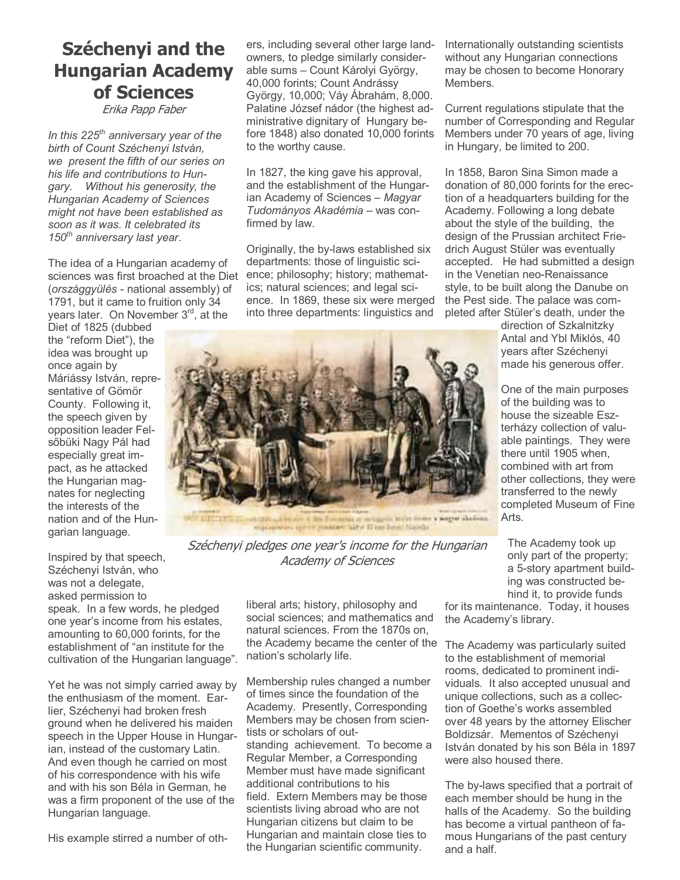# Széchenyi and the Hungarian Academy of Sciences

Erika Papp Faber

In this  $225<sup>th</sup>$  anniversary year of the birth of Count Széchenyi István, we present the fifth of our series on his life and contributions to Hungary. Without his generosity, the Hungarian Academy of Sciences might not have been established as soon as it was. It celebrated its  $150<sup>th</sup>$  anniversary last year.

The idea of a Hungarian academy of sciences was first broached at the Diet ence; philosophy; history; mathemat-(országgyülés - national assembly) of 1791, but it came to fruition only 34 years later. On November 3<sup>rd</sup>, at the

Diet of 1825 (dubbed the "reform Diet"), the idea was brought up once again by Máriássy István, representative of Gömör County. Following it, the speech given by opposition leader Felsőbüki Nagy Pál had especially great impact, as he attacked the Hungarian magnates for neglecting the interests of the nation and of the Hungarian language.

Inspired by that speech, Széchenyi István, who was not a delegate, asked permission to speak. In a few words, he pledged one year's income from his estates, amounting to 60,000 forints, for the establishment of "an institute for the cultivation of the Hungarian language".

Yet he was not simply carried away by the enthusiasm of the moment. Earlier, Széchenyi had broken fresh ground when he delivered his maiden speech in the Upper House in Hungarian, instead of the customary Latin. And even though he carried on most of his correspondence with his wife and with his son Béla in German, he was a firm proponent of the use of the Hungarian language.

His example stirred a number of oth-

ers, including several other large landowners, to pledge similarly considerable sums – Count Károlyi György, 40,000 forints; Count Andrássy György, 10,000; Váy Ábrahám, 8,000. Palatine József nádor (the highest administrative dignitary of Hungary before 1848) also donated 10,000 forints to the worthy cause.

In 1827, the king gave his approval, and the establishment of the Hungarian Academy of Sciences – Magyar Tudományos Akadémia – was confirmed by law.

Originally, the by-laws established six departments: those of linguistic sciics; natural sciences; and legal science. In 1869, these six were merged into three departments: linguistics and

Internationally outstanding scientists without any Hungarian connections may be chosen to become Honorary Members.

Current regulations stipulate that the number of Corresponding and Regular Members under 70 years of age, living in Hungary, be limited to 200.

In 1858, Baron Sina Simon made a donation of 80,000 forints for the erection of a headquarters building for the Academy. Following a long debate about the style of the building, the design of the Prussian architect Friedrich August Stüler was eventually accepted. He had submitted a design in the Venetian neo-Renaissance style, to be built along the Danube on the Pest side. The palace was completed after Stüler's death, under the

> direction of Szkalnitzky Antal and Ybl Miklós, 40 years after Széchenyi made his generous offer.

One of the main purposes of the building was to house the sizeable Eszterházy collection of valuable paintings. They were there until 1905 when, combined with art from other collections, they were transferred to the newly completed Museum of Fine Arts.



Széchenyi pledges one year's income for the Hungarian Academy of Sciences

liberal arts; history, philosophy and social sciences; and mathematics and natural sciences. From the 1870s on, the Academy became the center of the nation's scholarly life.

Membership rules changed a number of times since the foundation of the Academy. Presently, Corresponding Members may be chosen from scientists or scholars of outstanding achievement. To become a Regular Member, a Corresponding Member must have made significant additional contributions to his field. Extern Members may be those scientists living abroad who are not Hungarian citizens but claim to be Hungarian and maintain close ties to the Hungarian scientific community.

The Academy took up only part of the property; a 5-story apartment building was constructed behind it, to provide funds

for its maintenance. Today, it houses the Academy's library.

The Academy was particularly suited to the establishment of memorial rooms, dedicated to prominent individuals. It also accepted unusual and unique collections, such as a collection of Goethe's works assembled over 48 years by the attorney Elischer Boldizsár. Mementos of Széchenyi István donated by his son Béla in 1897 were also housed there.

The by-laws specified that a portrait of each member should be hung in the halls of the Academy. So the building has become a virtual pantheon of famous Hungarians of the past century and a half.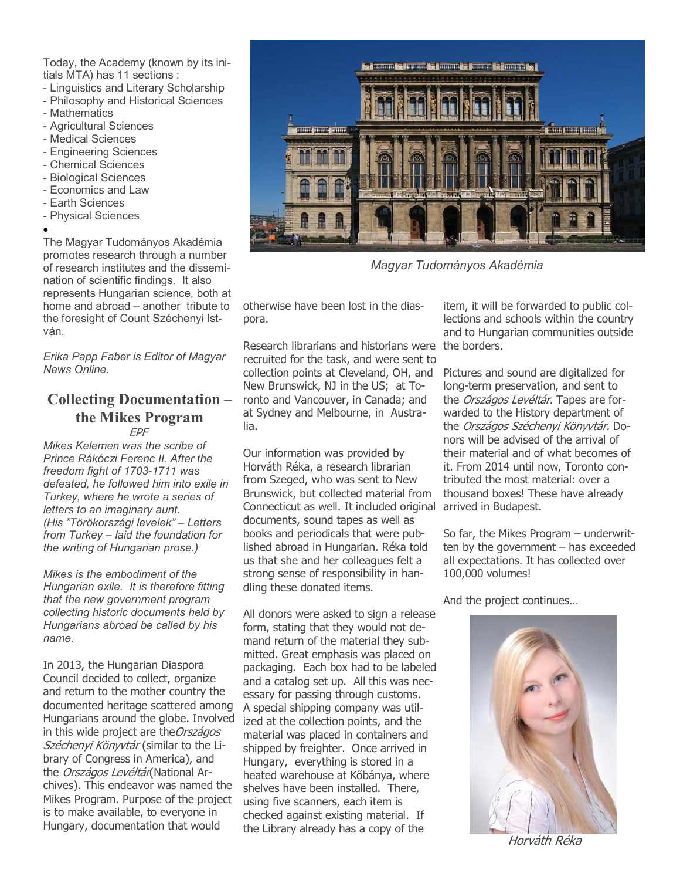Today, the Academy (known by its initials MTA) has 11 sections :

- Linguistics and Literary Scholarship
- Philosophy and Historical Sciences
- Mathematics
- Agricultural Sciences
- Medical Sciences
- Engineering Sciences
- Chemical Sciences
- Biological Sciences
- Economics and Law
- Earth Sciences
- Physical Sciences
- •

The Magyar Tudományos Akadémia promotes research through a number of research institutes and the dissemination of scientific findings. It also represents Hungarian science, both at home and abroad – another tribute to the foresight of Count Széchenyi István.

Erika Papp Faber is Editor of Magyar News Online.

#### Collecting Documentation – the Mikes Program EPF

Mikes Kelemen was the scribe of Prince Rákóczi Ferenc II. After the freedom fight of 1703-1711 was defeated, he followed him into exile in Turkey, where he wrote a series of letters to an imaginary aunt. (His "Törökországi levelek" – Letters from Turkey – laid the foundation for the writing of Hungarian prose.)

Mikes is the embodiment of the Hungarian exile. It is therefore fitting that the new government program collecting historic documents held by Hungarians abroad be called by his name.

In 2013, the Hungarian Diaspora Council decided to collect, organize and return to the mother country the documented heritage scattered among Hungarians around the globe. Involved in this wide project are the Országos Széchenyi Könyvtár (similar to the Library of Congress in America), and the Országos Levéltár(National Archives). This endeavor was named the Mikes Program. Purpose of the project is to make available, to everyone in Hungary, documentation that would



Magyar Tudományos Akadémia

otherwise have been lost in the diaspora.

Research librarians and historians were the borders. recruited for the task, and were sent to collection points at Cleveland, OH, and New Brunswick, NJ in the US; at Toronto and Vancouver, in Canada; and at Sydney and Melbourne, in Australia.

Our information was provided by Horváth Réka, a research librarian from Szeged, who was sent to New Brunswick, but collected material from Connecticut as well. It included original documents, sound tapes as well as books and periodicals that were published abroad in Hungarian. Réka told us that she and her colleagues felt a strong sense of responsibility in handling these donated items.

All donors were asked to sign a release form, stating that they would not demand return of the material they submitted. Great emphasis was placed on packaging. Each box had to be labeled and a catalog set up. All this was necessary for passing through customs. A special shipping company was utilized at the collection points, and the material was placed in containers and shipped by freighter. Once arrived in Hungary, everything is stored in a heated warehouse at Kőbánya, where shelves have been installed. There, using five scanners, each item is checked against existing material. If the Library already has a copy of the

item, it will be forwarded to public collections and schools within the country and to Hungarian communities outside

Pictures and sound are digitalized for long-term preservation, and sent to the Országos Levéltár. Tapes are forwarded to the History department of the Országos Széchenyi Könyvtár. Donors will be advised of the arrival of their material and of what becomes of it. From 2014 until now, Toronto contributed the most material: over a thousand boxes! These have already arrived in Budapest.

So far, the Mikes Program – underwritten by the government – has exceeded all expectations. It has collected over 100,000 volumes!

And the project continues…



Horváth Réka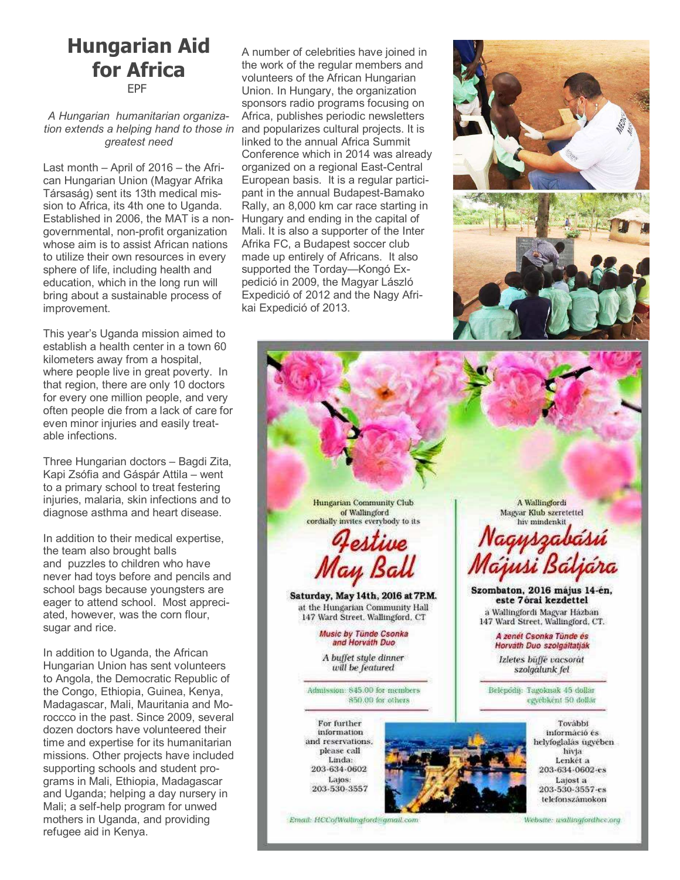## Hungarian Aid for Africa EPF

A Hungarian humanitarian organization extends a helping hand to those in greatest need

Last month – April of 2016 – the African Hungarian Union (Magyar Afrika Társaság) sent its 13th medical mission to Africa, its 4th one to Uganda. Established in 2006, the MAT is a nongovernmental, non-profit organization whose aim is to assist African nations to utilize their own resources in every sphere of life, including health and education, which in the long run will bring about a sustainable process of improvement.

This year's Uganda mission aimed to establish a health center in a town 60 kilometers away from a hospital, where people live in great poverty. In that region, there are only 10 doctors for every one million people, and very often people die from a lack of care for even minor injuries and easily treatable infections.

Three Hungarian doctors – Bagdi Zita, Kapi Zsófia and Gáspár Attila – went to a primary school to treat festering injuries, malaria, skin infections and to diagnose asthma and heart disease.

In addition to their medical expertise, the team also brought balls and puzzles to children who have never had toys before and pencils and school bags because youngsters are eager to attend school. Most appreciated, however, was the corn flour, sugar and rice.

In addition to Uganda, the African Hungarian Union has sent volunteers to Angola, the Democratic Republic of the Congo, Ethiopia, Guinea, Kenya, Madagascar, Mali, Mauritania and Moroccco in the past. Since 2009, several dozen doctors have volunteered their time and expertise for its humanitarian missions. Other projects have included supporting schools and student programs in Mali, Ethiopia, Madagascar and Uganda; helping a day nursery in Mali; a self-help program for unwed mothers in Uganda, and providing refugee aid in Kenya.

A number of celebrities have joined in the work of the regular members and volunteers of the African Hungarian Union. In Hungary, the organization sponsors radio programs focusing on Africa, publishes periodic newsletters and popularizes cultural projects. It is linked to the annual Africa Summit Conference which in 2014 was already organized on a regional East-Central European basis. It is a regular participant in the annual Budapest-Bamako Rally, an 8,000 km car race starting in Hungary and ending in the capital of Mali. It is also a supporter of the Inter Afrika FC, a Budapest soccer club made up entirely of Africans. It also supported the Torday—Kongó Expedició in 2009, the Magyar László Expedició of 2012 and the Nagy Afrikai Expedició of 2013.



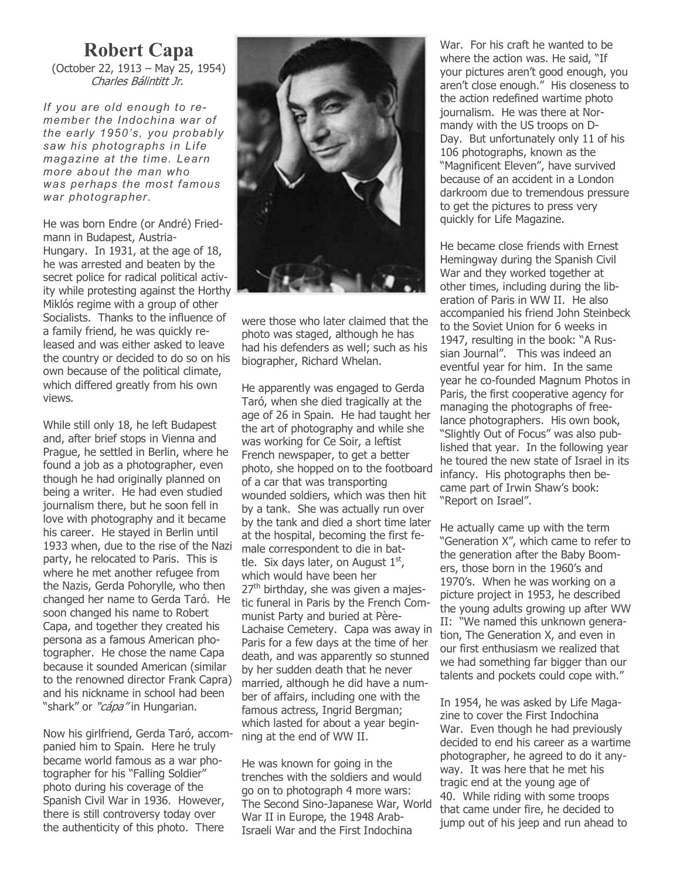# Robert Capa

(October 22, 1913 – May 25, 1954) Charles Bálintitt Jr.

If you are old enough to remember the Indochina war of the early 1950's, you probably saw his photographs in Life magazine at the time. Learn more about the man who was perhaps the most famous war photographer.

He was born Endre (or André) Friedmann in Budapest, Austria-Hungary. In 1931, at the age of 18, he was arrested and beaten by the secret police for radical political activity while protesting against the Horthy Miklós regime with a group of other Socialists. Thanks to the influence of a family friend, he was quickly released and was either asked to leave the country or decided to do so on his own because of the political climate, which differed greatly from his own views.

While still only 18, he left Budapest and, after brief stops in Vienna and Prague, he settled in Berlin, where he found a job as a photographer, even though he had originally planned on being a writer. He had even studied journalism there, but he soon fell in love with photography and it became his career. He stayed in Berlin until 1933 when, due to the rise of the Nazi party, he relocated to Paris. This is where he met another refugee from the Nazis, Gerda Pohorylle, who then changed her name to Gerda Taró. He soon changed his name to Robert Capa, and together they created his persona as a famous American photographer. He chose the name Capa because it sounded American (similar to the renowned director Frank Capra) and his nickname in school had been "shark" or "cápa" in Hungarian.

Now his girlfriend, Gerda Taró, accompanied him to Spain. Here he truly became world famous as a war photographer for his "Falling Soldier" photo during his coverage of the Spanish Civil War in 1936. However, there is still controversy today over the authenticity of this photo. There



were those who later claimed that the photo was staged, although he has had his defenders as well; such as his biographer, Richard Whelan.

He apparently was engaged to Gerda Taró, when she died tragically at the age of 26 in Spain. He had taught her the art of photography and while she was working for Ce Soir, a leftist French newspaper, to get a better photo, she hopped on to the footboard of a car that was transporting wounded soldiers, which was then hit by a tank. She was actually run over by the tank and died a short time later at the hospital, becoming the first female correspondent to die in battle. Six days later, on August  $1<sup>st</sup>$ , which would have been her  $27<sup>th</sup>$  birthday, she was given a majestic funeral in Paris by the French Communist Party and buried at Père-Lachaise Cemetery. Capa was away in Paris for a few days at the time of her death, and was apparently so stunned by her sudden death that he never married, although he did have a number of affairs, including one with the famous actress, Ingrid Bergman; which lasted for about a year beginning at the end of WW II.

He was known for going in the trenches with the soldiers and would go on to photograph 4 more wars: The Second Sino-Japanese War, World War II in Europe, the 1948 Arab-Israeli War and the First Indochina

War. For his craft he wanted to be where the action was. He said, "If your pictures aren't good enough, you aren't close enough." His closeness to the action redefined wartime photo journalism. He was there at Normandy with the US troops on D-Day. But unfortunately only 11 of his 106 photographs, known as the "Magnificent Eleven", have survived because of an accident in a London darkroom due to tremendous pressure to get the pictures to press very quickly for Life Magazine.

He became close friends with Ernest Hemingway during the Spanish Civil War and they worked together at other times, including during the liberation of Paris in WW II. He also accompanied his friend John Steinbeck to the Soviet Union for 6 weeks in 1947, resulting in the book: "A Russian Journal". This was indeed an eventful year for him. In the same year he co-founded Magnum Photos in Paris, the first cooperative agency for managing the photographs of freelance photographers. His own book, "Slightly Out of Focus" was also published that year. In the following year he toured the new state of Israel in its infancy. His photographs then became part of Irwin Shaw's book: "Report on Israel".

He actually came up with the term "Generation X", which came to refer to the generation after the Baby Boomers, those born in the 1960's and 1970's. When he was working on a picture project in 1953, he described the young adults growing up after WW II: "We named this unknown generation, The Generation X, and even in our first enthusiasm we realized that we had something far bigger than our talents and pockets could cope with."

In 1954, he was asked by Life Magazine to cover the First Indochina War. Even though he had previously decided to end his career as a wartime photographer, he agreed to do it anyway. It was here that he met his tragic end at the young age of 40. While riding with some troops that came under fire, he decided to jump out of his jeep and run ahead to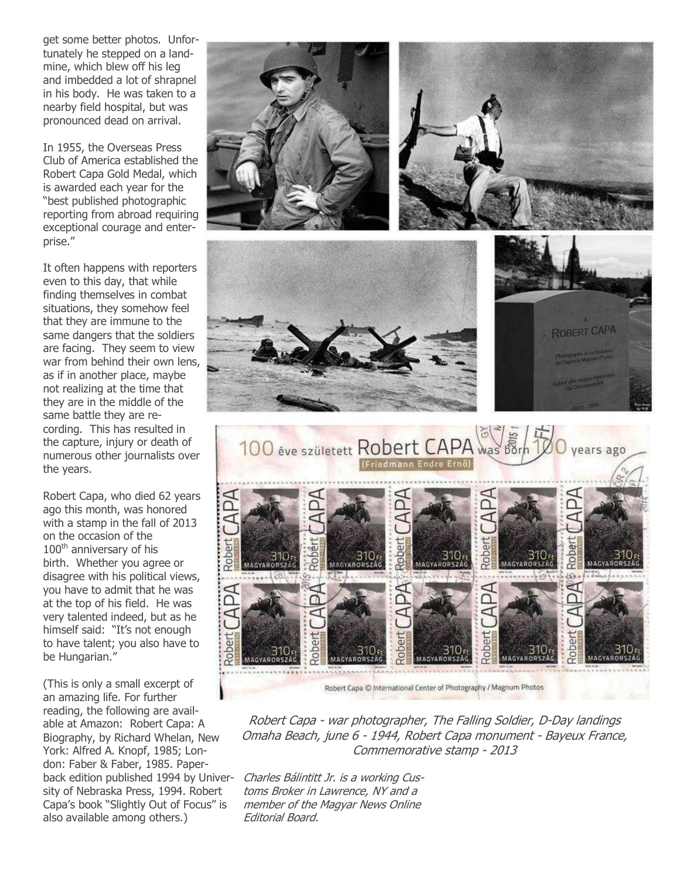get some better photos. Unfortunately he stepped on a landmine, which blew off his leg and imbedded a lot of shrapnel in his body. He was taken to a nearby field hospital, but was pronounced dead on arrival.

In 1955, the Overseas Press Club of America established the Robert Capa Gold Medal, which is awarded each year for the "best published photographic reporting from abroad requiring exceptional courage and enterprise."

It often happens with reporters even to this day, that while finding themselves in combat situations, they somehow feel that they are immune to the same dangers that the soldiers are facing. They seem to view war from behind their own lens, as if in another place, maybe not realizing at the time that they are in the middle of the same battle they are recording. This has resulted in the capture, injury or death of numerous other journalists over the years.

Robert Capa, who died 62 years ago this month, was honored with a stamp in the fall of 2013 on the occasion of the 100<sup>th</sup> anniversary of his birth. Whether you agree or disagree with his political views, you have to admit that he was at the top of his field. He was very talented indeed, but as he himself said: "It's not enough to have talent; you also have to be Hungarian."

(This is only a small excerpt of an amazing life. For further reading, the following are available at Amazon: Robert Capa: A Biography, by Richard Whelan, New York: Alfred A. Knopf, 1985; London: Faber & Faber, 1985. Paperback edition published 1994 by University of Nebraska Press, 1994. Robert Capa's book "Slightly Out of Focus" is also available among others.)



Robert Capa - war photographer, The Falling Soldier, D-Day landings Omaha Beach, june 6 - 1944, Robert Capa monument - Bayeux France, Commemorative stamp - 2013

Charles Bálintitt Jr. is a working Customs Broker in Lawrence, NY and a member of the Magyar News Online Editorial Board.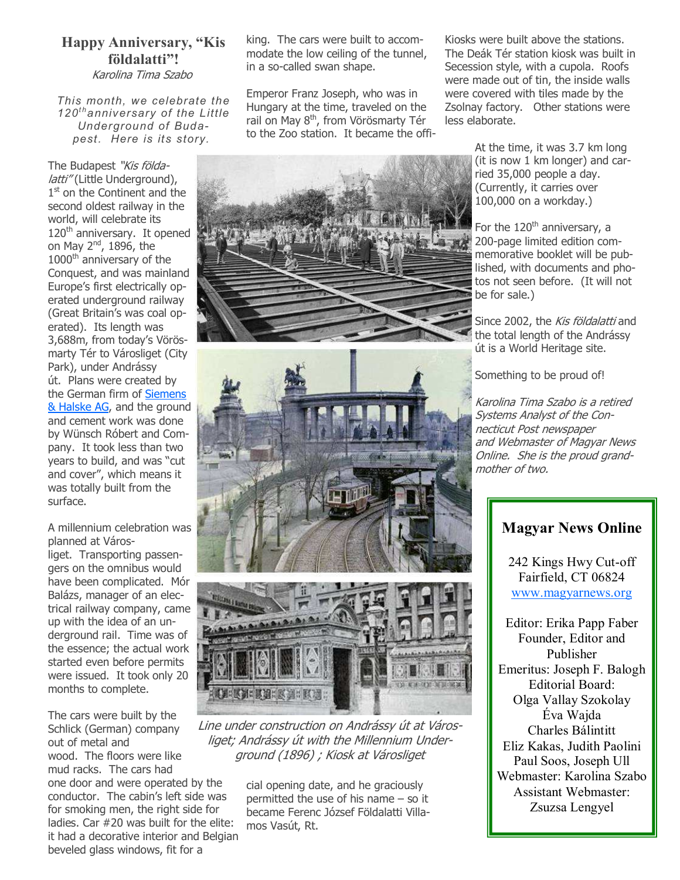## Happy Anniversary, "Kis földalatti"!

Karolina Tima Szabo

This month, we celebrate the 120<sup>th</sup> anniversary of the Little Underground of Budapest. Here is its story.

The Budapest "Kis földalatti" (Little Underground), 1<sup>st</sup> on the Continent and the second oldest railway in the world, will celebrate its 120<sup>th</sup> anniversary. It opened on May  $2^{nd}$ , 1896, the 1000<sup>th</sup> anniversary of the Conquest, and was mainland Europe's first electrically operated underground railway (Great Britain's was coal operated). Its length was 3,688m, from today's Vörösmarty Tér to Városliget (City Park), under Andrássy út. Plans were created by the German firm of Siemens & Halske AG, and the ground and cement work was done by Wünsch Róbert and Company. It took less than two years to build, and was "cut and cover", which means it was totally built from the surface.

A millennium celebration was planned at Város-

liget. Transporting passengers on the omnibus would have been complicated. Mór Balázs, manager of an electrical railway company, came up with the idea of an underground rail. Time was of the essence; the actual work started even before permits were issued. It took only 20 months to complete.

The cars were built by the Schlick (German) company out of metal and wood. The floors were like mud racks. The cars had one door and were operated by the conductor. The cabin's left side was for smoking men, the right side for ladies. Car #20 was built for the elite: it had a decorative interior and Belgian beveled glass windows, fit for a

king. The cars were built to accommodate the low ceiling of the tunnel, in a so-called swan shape.

Emperor Franz Joseph, who was in Hungary at the time, traveled on the rail on May 8<sup>th</sup>, from Vörösmarty Tér to the Zoo station. It became the offi-



Line under construction on Andrássy út at Városliget; Andrássy út with the Millennium Underground (1896) ; Kiosk at Városliget

cial opening date, and he graciously permitted the use of his name – so it became Ferenc József Földalatti Villamos Vasút, Rt.

Kiosks were built above the stations. The Deák Tér station kiosk was built in Secession style, with a cupola. Roofs were made out of tin, the inside walls were covered with tiles made by the Zsolnay factory. Other stations were less elaborate.

> At the time, it was 3.7 km long (it is now 1 km longer) and carried 35,000 people a day. (Currently, it carries over 100,000 on a workday.)

For the 120<sup>th</sup> anniversary, a 200-page limited edition commemorative booklet will be published, with documents and photos not seen before. (It will not be for sale.)

Since 2002, the Kis földalatti and the total length of the Andrássy út is a World Heritage site.

Something to be proud of!

Karolina Tima Szabo is a retired Systems Analyst of the Connecticut Post newspaper and Webmaster of Magyar News Online. She is the proud grandmother of two.

## Magyar News Online

242 Kings Hwy Cut-off Fairfield, CT 06824 www.magyarnews.org

Editor: Erika Papp Faber Founder, Editor and Publisher Emeritus: Joseph F. Balogh Editorial Board: Olga Vallay Szokolay Éva Wajda Charles Bálintitt Eliz Kakas, Judith Paolini Paul Soos, Joseph Ull Webmaster: Karolina Szabo Assistant Webmaster: Zsuzsa Lengyel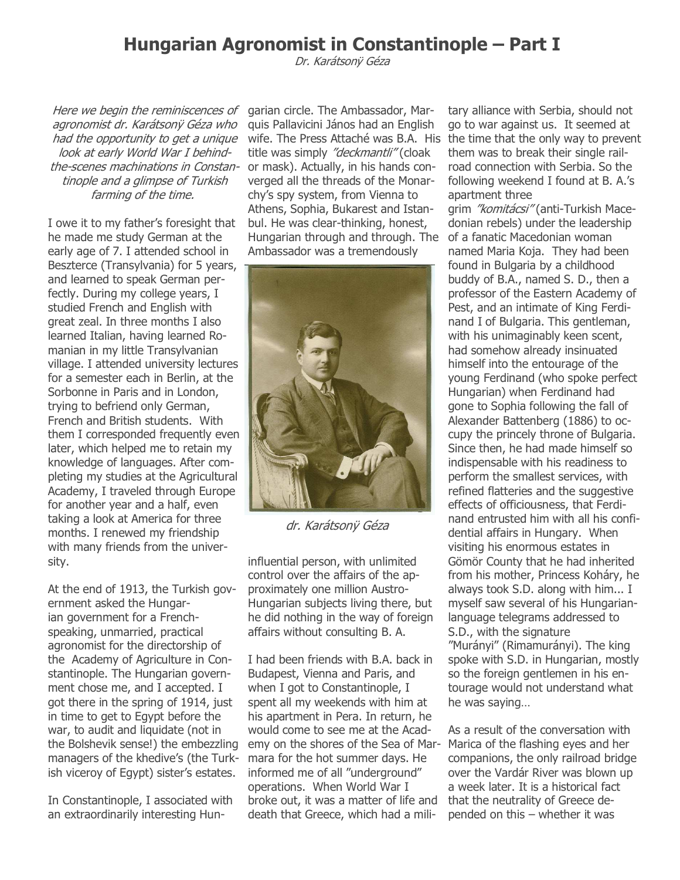# Hungarian Agronomist in Constantinople – Part I

Dr. Karátsonÿ Géza

Here we begin the reminiscences of agronomist dr. Karátsonÿ Géza who had the opportunity to get a unique look at early World War I behindthe-scenes machinations in Constantinople and a glimpse of Turkish farming of the time.

I owe it to my father's foresight that he made me study German at the early age of 7. I attended school in Beszterce (Transylvania) for 5 years, and learned to speak German perfectly. During my college years, I studied French and English with great zeal. In three months I also learned Italian, having learned Romanian in my little Transylvanian village. I attended university lectures for a semester each in Berlin, at the Sorbonne in Paris and in London, trying to befriend only German, French and British students. With them I corresponded frequently even later, which helped me to retain my knowledge of languages. After completing my studies at the Agricultural Academy, I traveled through Europe for another year and a half, even taking a look at America for three months. I renewed my friendship with many friends from the university.

At the end of 1913, the Turkish government asked the Hungarian government for a Frenchspeaking, unmarried, practical agronomist for the directorship of the Academy of Agriculture in Constantinople. The Hungarian government chose me, and I accepted. I got there in the spring of 1914, just in time to get to Egypt before the war, to audit and liquidate (not in the Bolshevik sense!) the embezzling managers of the khedive's (the Turkish viceroy of Egypt) sister's estates.

In Constantinople, I associated with an extraordinarily interesting Hungarian circle. The Ambassador, Marquis Pallavicini János had an English title was simply "deckmantli" (cloak or mask). Actually, in his hands converged all the threads of the Monarchy's spy system, from Vienna to Athens, Sophia, Bukarest and Istanbul. He was clear-thinking, honest, Hungarian through and through. The Ambassador was a tremendously



dr. Karátsonÿ Géza

influential person, with unlimited control over the affairs of the approximately one million Austro-Hungarian subjects living there, but he did nothing in the way of foreign affairs without consulting B. A.

I had been friends with B.A. back in Budapest, Vienna and Paris, and when I got to Constantinople, I spent all my weekends with him at his apartment in Pera. In return, he would come to see me at the Academy on the shores of the Sea of Mar-Marica of the flashing eyes and her mara for the hot summer days. He informed me of all "underground" operations. When World War I broke out, it was a matter of life and death that Greece, which had a mili-

wife. The Press Attaché was B.A. His the time that the only way to prevent tary alliance with Serbia, should not go to war against us. It seemed at them was to break their single railroad connection with Serbia. So the following weekend I found at B. A.'s apartment three

> grim "komitácsi" (anti-Turkish Macedonian rebels) under the leadership of a fanatic Macedonian woman named Maria Koja. They had been found in Bulgaria by a childhood buddy of B.A., named S. D., then a professor of the Eastern Academy of Pest, and an intimate of King Ferdinand I of Bulgaria. This gentleman, with his unimaginably keen scent, had somehow already insinuated himself into the entourage of the young Ferdinand (who spoke perfect Hungarian) when Ferdinand had gone to Sophia following the fall of Alexander Battenberg (1886) to occupy the princely throne of Bulgaria. Since then, he had made himself so indispensable with his readiness to perform the smallest services, with refined flatteries and the suggestive effects of officiousness, that Ferdinand entrusted him with all his confidential affairs in Hungary. When visiting his enormous estates in Gömör County that he had inherited from his mother, Princess Koháry, he always took S.D. along with him... I myself saw several of his Hungarianlanguage telegrams addressed to S.D., with the signature "Murányi" (Rimamurányi). The king spoke with S.D. in Hungarian, mostly so the foreign gentlemen in his entourage would not understand what he was saying…

As a result of the conversation with companions, the only railroad bridge over the Vardár River was blown up a week later. It is a historical fact that the neutrality of Greece depended on this – whether it was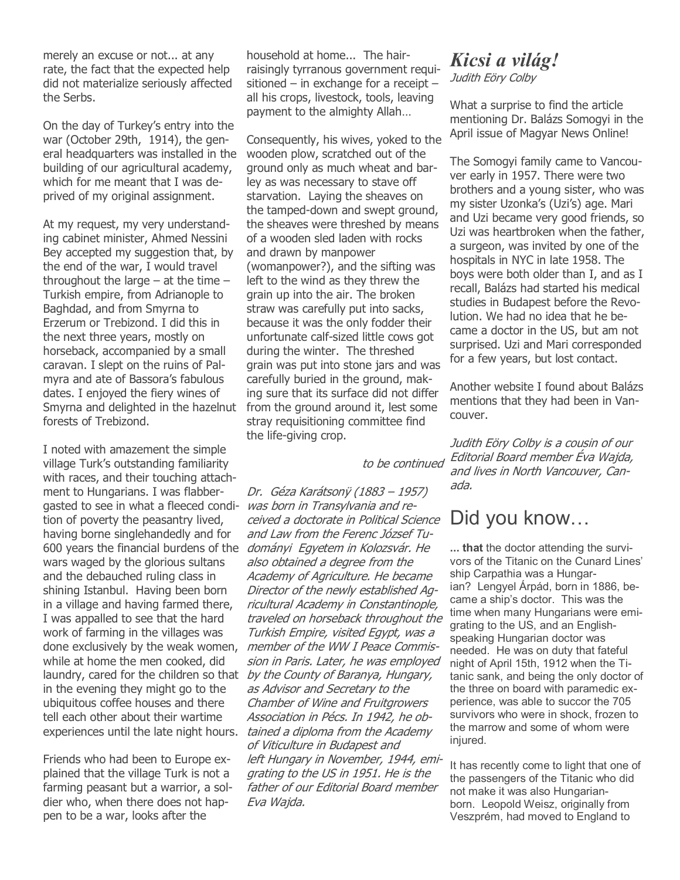merely an excuse or not... at any rate, the fact that the expected help did not materialize seriously affected the Serbs.

On the day of Turkey's entry into the war (October 29th, 1914), the general headquarters was installed in the building of our agricultural academy, which for me meant that I was deprived of my original assignment.

At my request, my very understanding cabinet minister, Ahmed Nessini Bey accepted my suggestion that, by the end of the war, I would travel throughout the large  $-$  at the time  $-$ Turkish empire, from Adrianople to Baghdad, and from Smyrna to Erzerum or Trebizond. I did this in the next three years, mostly on horseback, accompanied by a small caravan. I slept on the ruins of Palmyra and ate of Bassora's fabulous dates. I enjoyed the fiery wines of Smyrna and delighted in the hazelnut forests of Trebizond.

I noted with amazement the simple village Turk's outstanding familiarity with races, and their touching attachment to Hungarians. I was flabbergasted to see in what a fleeced condition of poverty the peasantry lived, having borne singlehandedly and for 600 years the financial burdens of the *dományi Egyetem in Kolozsvár. He* wars waged by the glorious sultans and the debauched ruling class in shining Istanbul. Having been born in a village and having farmed there, I was appalled to see that the hard work of farming in the villages was done exclusively by the weak women, while at home the men cooked, did laundry, cared for the children so that *by the County of Baranya, Hungary,* in the evening they might go to the ubiquitous coffee houses and there tell each other about their wartime

Friends who had been to Europe explained that the village Turk is not a farming peasant but a warrior, a soldier who, when there does not happen to be a war, looks after the

household at home... The hairraisingly tyrranous government requisitioned – in exchange for a receipt – all his crops, livestock, tools, leaving payment to the almighty Allah…

Consequently, his wives, yoked to the wooden plow, scratched out of the ground only as much wheat and barley as was necessary to stave off starvation. Laying the sheaves on the tamped-down and swept ground, the sheaves were threshed by means of a wooden sled laden with rocks and drawn by manpower (womanpower?), and the sifting was left to the wind as they threw the grain up into the air. The broken straw was carefully put into sacks, because it was the only fodder their unfortunate calf-sized little cows got during the winter. The threshed grain was put into stone jars and was carefully buried in the ground, making sure that its surface did not differ from the ground around it, lest some stray requisitioning committee find the life-giving crop.

#### to be continued

experiences until the late night hours. *tained a diploma from the Academy* Dr. Géza Karátsonÿ (1883 – 1957) was born in Transylvania and received a doctorate in Political Science and Law from the Ferenc József Tualso obtained a degree from the Academy of Agriculture. He became Director of the newly established Agricultural Academy in Constantinople, traveled on horseback throughout the Turkish Empire, visited Egypt, was a member of the WW I Peace Commission in Paris. Later, he was employed as Advisor and Secretary to the Chamber of Wine and Fruitgrowers Association in Pécs. In 1942, he obof Viticulture in Budapest and left Hungary in November, 1944, emigrating to the US in 1951. He is the father of our Editorial Board member Eva Wajda.

# Kicsi a világ!

Judith Eöry Colby

What a surprise to find the article mentioning Dr. Balázs Somogyi in the April issue of Magyar News Online!

The Somogyi family came to Vancouver early in 1957. There were two brothers and a young sister, who was my sister Uzonka's (Uzi's) age. Mari and Uzi became very good friends, so Uzi was heartbroken when the father, a surgeon, was invited by one of the hospitals in NYC in late 1958. The boys were both older than I, and as I recall, Balázs had started his medical studies in Budapest before the Revolution. We had no idea that he became a doctor in the US, but am not surprised. Uzi and Mari corresponded for a few years, but lost contact.

Another website I found about Balázs mentions that they had been in Vancouver.

Judith Eöry Colby is a cousin of our Editorial Board member Éva Wajda, and lives in North Vancouver, Canada.

# Did you know…

... that the doctor attending the survivors of the Titanic on the Cunard Lines' ship Carpathia was a Hungarian? Lengyel Árpád, born in 1886, became a ship's doctor. This was the time when many Hungarians were emigrating to the US, and an Englishspeaking Hungarian doctor was needed. He was on duty that fateful night of April 15th, 1912 when the Titanic sank, and being the only doctor of the three on board with paramedic experience, was able to succor the 705 survivors who were in shock, frozen to the marrow and some of whom were injured.

It has recently come to light that one of the passengers of the Titanic who did not make it was also Hungarianborn. Leopold Weisz, originally from Veszprém, had moved to England to